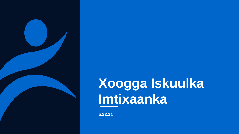

## **Xoogga Iskuulka Imtixaanka**

**5.22.21**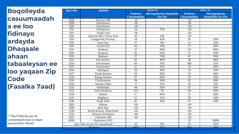**Boqolleyda casuumaadah a ee loo fidinayo ardayda Dhaqaale ahaan tabaaleysan ee loo yaqaan Zip Code (Fasalka 7aad)**

*\* Nip Codes ka yar 10 casuumaad ayaa la isugu geeyay koox ahaan.*

| <b>Zip Code</b> | <b>Xaafada</b>                  |                 | <b>SY20-21</b>           |                  | <b>SY21-22</b>            |
|-----------------|---------------------------------|-----------------|--------------------------|------------------|---------------------------|
|                 |                                 | <b>Wadarta</b>  | Martiqaadyada Boqolkiiba | Wadarta          | Martiqaadyada             |
|                 |                                 | Casuumadaha     | <b>Eco Dis</b>           | Casuumadaha      | <b>Boqolkiiba Eco Dis</b> |
| 2108            | <b>Beacon Hill</b>              | <10             |                          | $\overline{10}$  |                           |
| 2109            | Downtown                        | $\overline{50}$ |                          | <10              |                           |
| 2110            | Downtown                        | $\overline{10}$ |                          | $\overline{10}$  |                           |
| 2111            | Chinatown                       | 24              | 75%                      | $\overline{5}$   |                           |
| 2113            | North End                       | $\leq 10$       |                          | <10              |                           |
| 2114            | Beacon Hill / West End          | 19              | 11%                      | <10              |                           |
| 2115            | Longwood/Fenway                 | 14              | 43%                      | 10               | 20%                       |
| 2116            | <b>Back Bay</b>                 | $\overline{27}$ | $0\%$                    | $\overline{13}$  | 23%                       |
| 2118            | South End                       | $\overline{36}$ | 33%                      | $\overline{27}$  | 19%                       |
| 2119            | Roxbury                         | $\overline{27}$ | 56%                      | $\overline{50}$  | 68%                       |
| 2120            | Roxbury                         | $\overline{16}$ | 63%                      | $\overline{11}$  | 55%                       |
| 2121            | Roxbury                         | $\overline{27}$ | 78%                      | 67               | 76%                       |
| 2122            | Dorchester                      | 62              | 40%                      | 48               | 48%                       |
| 2124            | Dorchester                      | 84              | 51%                      | 109              | 47%                       |
| 2125            | Dorchester                      | 47              | 47%                      | 59               | 59%                       |
| 2126            | Mattapan                        | $\overline{20}$ | 45%                      | $\overline{51}$  | 53%                       |
| 2127            | South Boston                    | 34              | 35%                      | $\overline{35}$  | 34%                       |
| 2128            | Bariga Boston                   | 57              | 65%                      | 75               | 55%                       |
| 2129            | Charlestown                     | $\overline{56}$ | 38%                      | $\overline{35}$  | 20%                       |
| 2130            | Jamaica Plain                   | $\overline{77}$ | 12%                      | $\overline{54}$  | 6%                        |
| 2131            | Roslindale                      | 94              | 33%                      | 67               | 16%                       |
| 2132            | West Roxbury                    | 133             | 7%                       | 69               | 10%                       |
| 2134            | Allston                         | $\overline{17}$ | 65%                      | 11               | 36%                       |
| 2135            | Brighton                        | $\overline{52}$ | 37%                      | 29               | 34%                       |
| 2136            | Hyde Park                       | 67              | 31%                      | 67               | 33%                       |
| 2163            | Allston                         | $\leq 10$       |                          | <10              |                           |
| 2199            | <b>Back Bay</b>                 | <10             |                          | <10              |                           |
| 2210            | South Boston Waterfront         | <10             |                          | $\overline{50}$  |                           |
| 2215            | Fenway/Kenmore                  | $\overline{10}$ |                          | $\overline{<}10$ |                           |
| 2467            | Chestnut Hill                   | <10             |                          | <10              |                           |
| 9999            | Hoylaawe/DCF                    |                 |                          | 53               | 100%                      |
|                 | Zip codes ka yar 10 casuumaad * | 35              | 11%                      | 34               | 26%                       |
|                 | Wadarta                         | 1025            | 35%                      | 974              | 43%                       |

**2**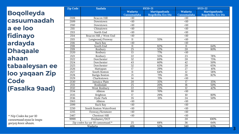**Boqolleyda casuumaadah a ee loo fidinayo ardayda Dhaqaale ahaan tabaaleysan ee loo yaqaan Zip Code (Fasalka 9aad)**

| <b>Zip Code</b> | <b>Xaafada</b>                  |                    | SY20-21                   |                    | <b>SY21-22</b>            |
|-----------------|---------------------------------|--------------------|---------------------------|--------------------|---------------------------|
|                 |                                 | Wadarta            | Martiqaadyada             | Wadarta            | Martiqaadyada             |
| 2108            | <b>Beacon Hill</b>              | Casuumadaha<br><10 | <b>Boqolkiiba Eco Dis</b> | Casuumadaha<br><10 | <b>Boqolkiiba Eco Dis</b> |
| 2109            | Downtown                        | $\overline{<}10$   |                           | $\overline{10}$    |                           |
| 2110            |                                 | $\overline{10}$    |                           | <10                |                           |
|                 | Downtown                        |                    |                           |                    |                           |
| 2111            | Chinatown                       | <10                |                           | <10                |                           |
| 2113            | North End                       | $\overline{10}$    |                           | $\overline{<}10$   |                           |
| 2114            | Beacon Hill / West End          | <10                |                           | <10                |                           |
| 2115            | Longwood/Fenway                 | $\overline{11}$    | 55%                       | $\overline{50}$    |                           |
| 2116            | Back Bay                        | $\overline{10}$    |                           | <10                |                           |
| 2118            | South End                       | $\overline{11}$    | 82%                       | $\overline{11}$    | 64%                       |
| 2119            | Roxbury                         | $\overline{25}$    | 52%                       | $\overline{20}$    | 80%                       |
| 2120            | Roxbury                         | $\overline{13}$    | 77%                       | <10                |                           |
| 2121            | Roxbury                         | $\overline{22}$    | 55%                       | $\overline{23}$    | 78%                       |
| 2122            | Dorchester                      | $\overline{32}$    | 69%                       | $\overline{20}$    | 75%                       |
| 2124            | Dorchester                      | 43                 | 60%                       | 42                 | 50%                       |
| 2125            | Dorchester                      | $\overline{32}$    | 63%                       | $\overline{20}$    | 65%                       |
| 2126            | Mattapan                        | 17                 | 29%                       | 27                 | 41%                       |
| 2127            | South Boston                    | $\overline{11}$    | 64%                       | $\overline{12}$    | 58%                       |
| 2128            | Bariga Boston                   | $\overline{21}$    | 71%                       | $\overline{28}$    | 82%                       |
| 2129            | Charlestown                     | 14                 | 71%                       | $\overline{10}$    |                           |
| 2130            | Jamaica Plain                   | $\overline{20}$    | 35%                       | 17                 | 35%                       |
| 2131            | Roslindale                      | $\overline{25}$    | 20%                       | 18                 | 50%                       |
| 2132            | West Roxbury                    | $\overline{22}$    | 23%                       | $\overline{12}$    | 42%                       |
| 2134            | Allston                         | $\overline{10}$    | 70%                       | <10                |                           |
| 2135            | Brighton                        | 17                 | 29%                       | 10                 | 80%                       |
| 2136            | Hyde Park                       | $\overline{35}$    | 31%                       | 24                 | 50%                       |
| 2163            | Allston                         | <10                |                           | <10                |                           |
| 2199            | Back Bay                        | <10                |                           | <10                |                           |
| 2210            | South Boston Waterfront         | <10                |                           | <10                |                           |
| 2215            | Fenway/Kenmore                  | $\overline{50}$    |                           | <10                |                           |
| 2467            | <b>Chestnut Hill</b>            | <10                |                           | <10                |                           |
| 9999            | Hoylaawe/DCF                    |                    |                           | $\overline{20}$    | 100%                      |
|                 | Zip codes ka yar 10 casuumaad * | $\overline{25}$    | 68%                       | $\overline{36}$    | 64%                       |
|                 | Wadarta                         | 406                | 52%                       | 340                | 63%                       |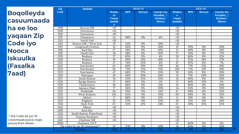|    | Zip               | <b>Xaafada</b>                  |                                    |            | SY20-21          |                                                       | <b>SY21-22</b>                 |            |                  |                                                     |
|----|-------------------|---------------------------------|------------------------------------|------------|------------------|-------------------------------------------------------|--------------------------------|------------|------------------|-----------------------------------------------------|
| da | Code              |                                 | Wadar<br>ta<br>Casuu<br>madah<br>a | <b>BPS</b> | Kireysi          | Gaarka loo<br>leeyahay $/$<br>Kooban/<br><b>Metco</b> | Wadart<br>a<br>Casuu<br>madaha | <b>BPS</b> | Kireysi          | Gaarka loo<br>leeyahay /<br>Kooban/<br><b>Metco</b> |
|    | 2108              | <b>Beacon Hill</b>              | <10                                |            |                  |                                                       | <10                            |            |                  |                                                     |
|    | 2109              | Downtown                        | $\overline{<}10$                   |            |                  |                                                       | $\overline{10}$                |            |                  |                                                     |
|    | $\overline{2110}$ | Downtown                        | $\overline{<}10$                   |            |                  |                                                       | $\overline{<}10$               |            |                  |                                                     |
|    | 2111              | Chinatown                       | $\overline{24}$                    | 96%        | 0%               | 4%                                                    | <10                            |            |                  |                                                     |
|    | 2113              | North End                       | $\overline{10}$                    |            |                  |                                                       | $\overline{10}$                |            |                  |                                                     |
|    | 2114              | Beacon Hill / West End          | $\overline{19}$                    | 42%        | 0%               | 58%                                                   | $\overline{<}10$               |            |                  |                                                     |
|    | 2115              | Longwood/Fenway                 | 14                                 | 64%        | 0%               | 36%                                                   | 10                             | 50%        | $0\%$            | 50%                                                 |
|    | 2116              | <b>Back Bav</b>                 | $\overline{27}$                    | 19%        | $\overline{0\%}$ | 81%                                                   | $\overline{13}$                | 69%        | $\overline{0\%}$ | 31%                                                 |
|    | 2118              | South End                       | $\overline{36}$                    | 58%        | 6%               | 36%                                                   | $\overline{27}$                | 59%        | 4%               | 37%                                                 |
|    | 2119              | Roxbury                         | $\overline{27}$                    | 85%        | 11%              | 4%                                                    | 50                             | 80%        | 8%               | 12%                                                 |
|    | 2120              | Roxbury                         | 16                                 | 69%        | 13%              | 19%                                                   | 11                             | 55%        | 18%              | 27%                                                 |
|    | 2121              | Roxbury                         | $\overline{27}$                    | 74%        | 22%              | 4%                                                    | 67                             | 87%        | 6%               | 7%                                                  |
|    | 2122              | Dorchester                      | 62                                 | 69%        | 10%              | 21%                                                   | 48                             | 77%        | 13%              | 10%                                                 |
|    | 2124              | Dorchester                      | 84                                 | 73%        | 12%              | 15%                                                   | $\frac{109}{x}$                | 77%        | 13%              | 10%                                                 |
|    | 2125              | Dorchester                      | 47                                 | 68%        | 17%              | 15%                                                   | 59                             | 81%        | 8%               | 10%                                                 |
|    | 2126              | Mattapan                        | $\overline{20}$                    | 40%        | 50%              | 10%                                                   | $\overline{51}$                | 71%        | 20%              | 10%                                                 |
|    | 2127              | South Boston                    | $\overline{34}$                    | 53%        | 12%              | 35%                                                   | $\overline{35}$                | 66%        | 6%               | 29%                                                 |
|    | 2128              | Bariga Boston                   | $\overline{57}$                    | 88%        | 11%              | 2%                                                    | $\overline{75}$                | 80%        | 15%              | 5%                                                  |
|    | 2129              | Charlestown                     | $\overline{56}$                    | 88%        | 0%               | 13%                                                   | $\overline{35}$                | 80%        | 0%               | 20%                                                 |
|    | 2130              | Jamaica Plain                   | $\overline{77}$                    | 56%        | 6%               | 38%                                                   | $\overline{54}$                | 65%        | $\overline{0\%}$ | 35%                                                 |
|    | 2131              | Roslindale                      | 94                                 | 76%        | 11%              | 14%                                                   | 67                             | 69%        | 6%               | 25%                                                 |
|    | 2132              | West Roxbury                    | 133                                | 62%        | 4%               | 35%                                                   | 69                             | 64%        | $\frac{3\%}{ }$  | 33%                                                 |
|    | 2134              | Allston                         | 17                                 | 88%        | $\overline{0\%}$ | 12%                                                   | 11                             | 91%        | 0%               | 9%                                                  |
|    | 2135              | Brighton                        | $\overline{52}$                    | 67%        | 0%               | 33%                                                   | 29                             | 72%        | 0%               | 28%                                                 |
|    | 2136              | Hyde Park                       | 67                                 | 55%        | 21%              | 24%                                                   | 67                             | 58%        | 16%              | 25%                                                 |
|    | 2163              | Allston                         | <10                                |            |                  |                                                       | <10                            |            |                  |                                                     |
|    | 2199              | <b>Back Bav</b>                 | <10                                |            |                  |                                                       | <10                            |            |                  |                                                     |
|    | 2210              | South Boston Waterfront         | $\overline{50}$                    |            |                  |                                                       | <10                            |            |                  |                                                     |
|    | 2215              | Fenway/Kenmore                  | $\overline{10}$                    |            |                  |                                                       | $\overline{<}10$               |            |                  |                                                     |
|    | 2467              | Chestnut Hill                   | $\overline{10}$                    |            |                  |                                                       | $\overline{10}$                |            |                  |                                                     |
|    | 9999              | Hovlaawe/DCF                    |                                    |            |                  |                                                       | 53                             | 100%       | 0%               | 0%                                                  |
|    |                   | Zip codes ka var 10 casuumaad * | 35                                 | 57%        | $0\%$            | 43%                                                   | $\overline{34}$                | 65%        | $\overline{0\%}$ | 35%                                                 |
|    |                   | Wadarta                         | 1025                               | 67%        | 9%               | 24%                                                   | 974                            | 74%        | 8%               | 18%                                                 |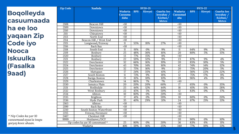**Boqolleyda casuumaada ha ee loo yaqaan Zip Code iyo Nooca Iskuulka (Fasalka 9aad)**

| <b>Zip Code</b>   | <b>Xaafada</b>                  |                            |            | <b>SY20-21</b> |                                                     |                                   | <b>SY21-22</b> |                  |                                                     |  |  |
|-------------------|---------------------------------|----------------------------|------------|----------------|-----------------------------------------------------|-----------------------------------|----------------|------------------|-----------------------------------------------------|--|--|
|                   |                                 | Wadarta<br>Casuuma<br>daha | <b>BPS</b> | Kireysi        | Gaarka loo<br>leeyahay /<br>Kooban/<br><b>Metco</b> | Wadarta<br><b>Casuumad</b><br>aha | <b>BPS</b>     | Kireysi          | Gaarka loo<br>leeyahay /<br>Kooban/<br><b>Metco</b> |  |  |
| 2108              | <b>Beacon Hill</b>              | <10                        |            |                |                                                     | <10                               |                |                  |                                                     |  |  |
| 2109              | Downtown                        | <10                        |            |                |                                                     | <10                               |                |                  |                                                     |  |  |
| 2110              | Downtown                        | $\overline{10}$            |            |                |                                                     | $\overline{10}$                   |                |                  |                                                     |  |  |
| 2111              | Chinatown                       | <10                        |            |                |                                                     | <10                               |                |                  |                                                     |  |  |
| 2113              | North End                       | <10                        |            |                |                                                     | <10                               |                |                  |                                                     |  |  |
| 2114              | Beacon Hill / West End          | $\overline{50}$            |            |                |                                                     | $\overline{50}$                   |                |                  |                                                     |  |  |
| 2115              | Longwood/Fenway                 | $\overline{11}$            | 55%        | 18%            | 27%                                                 | <10                               |                |                  |                                                     |  |  |
| 2116              | <b>Back Bay</b>                 | $\overline{10}$            |            |                |                                                     | $\overline{50}$                   |                |                  |                                                     |  |  |
| 2118              | South End                       | $\overline{11}$            | 91%        | 0%             | 9%                                                  | 11                                | 64%            | 9%               | 27%                                                 |  |  |
| $\overline{2119}$ | Roxbury                         | $\overline{25}$            | 48%        | 36%            | 16%                                                 | $\overline{20}$                   | 80%            | 5%               | 15%                                                 |  |  |
| 2120              | Roxbury                         | $\overline{13}$            | 77%        | 15%            | 8%                                                  | $\overline{50}$                   |                |                  |                                                     |  |  |
| 2121              | Roxbury                         | $\overline{22}$            | 59%        | 32%            | 9%                                                  | 23                                | 87%            | 9%               | 4%                                                  |  |  |
| 2122              | Dorchester                      | $\overline{32}$            | 66%        | 16%            | 19%                                                 | $\overline{20}$                   | 85%            | 10%              | $\overline{5\%}$                                    |  |  |
| 2124              | Dorchester                      | 43                         | 70%        | 14%            | 16%                                                 | 42                                | 74%            | 14%              | 12%                                                 |  |  |
| 2125              | Dorchester                      | $\overline{32}$            | 75%        | 16%            | 9%                                                  | $\overline{20}$                   | 75%            | 20%              | 5%                                                  |  |  |
| 2126              | Mattapan                        | 17                         | 24%        | 35%            | 41%                                                 | $\overline{27}$                   | 56%            | 22%              | 22%                                                 |  |  |
| 2127              | South Boston                    | $\overline{11}$            | 73%        | 9%             | 18%                                                 | $\overline{12}$                   | 75%            | 17%              | 8%                                                  |  |  |
| 2128              | Bariga Boston                   | $\overline{21}$            | 81%        | 10%            | 10%                                                 | $\overline{28}$                   | 96%            | 4%               | 0%                                                  |  |  |
| 2129              | Charlestown                     | 14                         | 86%        | 7%             | 7%                                                  | <10                               |                |                  |                                                     |  |  |
| 2130              | Jamaica Plain                   | $\overline{20}$            | 20%        | 20%            | 60%                                                 | $\overline{17}$                   | 65%            | $\overline{0\%}$ | 35%                                                 |  |  |
| 2131              | Roslindale                      | $\overline{25}$            | 44%        | 12%            | 44%                                                 | $\overline{18}$                   | 61%            | 11%              | 28%                                                 |  |  |
| 2132              | West Roxbury                    | $\overline{22}$            | 45%        | 5%             | 50%                                                 | $\overline{12}$                   | 83%            | $0\%$            | 17%                                                 |  |  |
| 2134              | Allston                         | $\overline{10}$            | 80%        | 0%             | 20%                                                 | $\overline{10}$                   |                |                  |                                                     |  |  |
| 2135              | Brighton                        | 17                         | 41%        | 0%             | 59%                                                 | 10                                | 80%            | 0%               | 20%                                                 |  |  |
| 2136              | Hyde Park                       | $\overline{35}$            | 40%        | 29%            | 31%                                                 | 24                                | 67%            | 21%              | 13%                                                 |  |  |
| 2163              | Allston                         | <10                        |            |                |                                                     | <10                               |                |                  |                                                     |  |  |
| 2199              | <b>Back Bav</b>                 | <10                        |            |                |                                                     | $\overline{50}$                   |                |                  |                                                     |  |  |
| 2210              | South Boston Waterfront         | <10                        |            |                |                                                     | <10                               |                |                  |                                                     |  |  |
| 2215              | Fenway/Kenmore                  | $<10$                      |            |                |                                                     | <10                               |                |                  |                                                     |  |  |
| 2467              | <b>Chestnut Hill</b>            | <10                        |            |                |                                                     | <10                               |                |                  |                                                     |  |  |
| 9999              | Hoylaawe/DCF                    |                            |            |                |                                                     | 20                                | 90%            | 0%               | 10%                                                 |  |  |
|                   | Zip codes ka yar 10 casuumaad * | 25                         | 80%        | 0%             | 20%                                                 | 36                                | 83%            | 6%               | 11%                                                 |  |  |
|                   | Wadarta                         | 406                        | 59%        | 16%            | 25%                                                 | $\overline{340}$                  | 77%            | 10%              | 13%                                                 |  |  |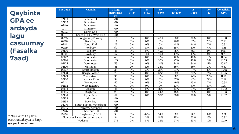**Qeybinta GPA ee ardayda lagu casuumay (Fasalka 7aad)**

| <b>Zip Code</b> | <b>Xaafada</b>                  | $#$ Lagu<br>martiqaad<br>ay: | $B -$<br>$7 - 7.9$ | <sub>B</sub><br>$8 - 8.9$ | $R+$<br>$9 - 9.9$ | $A-$<br>$10 - 10.9$ | A<br>$11 - 11.9$ | $A+$<br>12 | <b>Celceliska</b><br><b>GPA</b> |
|-----------------|---------------------------------|------------------------------|--------------------|---------------------------|-------------------|---------------------|------------------|------------|---------------------------------|
| 02108           | Beacon Hill                     | <10                          |                    |                           |                   |                     |                  |            |                                 |
| 02109           | Downtown                        | $\overline{10}$              |                    |                           |                   |                     |                  |            |                                 |
| 02110           | Downtown                        | $\overline{10}$              |                    |                           |                   |                     |                  |            |                                 |
| 02111           | Chinatown                       | $\overline{10}$              |                    |                           |                   |                     |                  |            |                                 |
| 02113           | North End                       | $\overline{10}$              |                    |                           |                   |                     |                  |            |                                 |
| 02114           | Beacon Hill / West End          | <10                          |                    |                           |                   |                     |                  |            |                                 |
| 02115           | Longwood/Fenway                 | 10                           | 0%                 | 0%                        | 20%               | 50%                 | 30%              | 0%         | 10.38                           |
| 02116           | Back Bay                        | $\overline{13}$              | 0%                 | 0%                        | 0%                | 46%                 | 31%              | 23%        | 11.10                           |
| 02118           | South End                       | $\overline{27}$              | 0%                 | 0%                        | 0%                | 48%                 | 44%              | 7%         | 10.92                           |
| 02119           | Roxbury                         | $\overline{50}$              | 0%                 | 34%                       | 32%               | 16%                 | 14%              | 4%         | 9.51                            |
| 02120           | Roxbury                         | 11                           | 0%                 | 9%                        | 45%               | 36%                 | 9%               | 0%         | 9.89                            |
| 02121           | Roxbury                         | 67                           | 0%                 | 21%                       | 40%               | 18%                 | 12%              | 9%         | 9.79                            |
| 02122           | Dorchester                      | 48                           | $0\%$              | 0%                        | 0%                | 42%                 | 48%              | 10%        | 11.04                           |
| 02124           | Dorchester                      | 109                          | 0%                 | 0%                        | 30%               | 27%                 | 40%              | 3%         | 10.53                           |
| 02125           | Dorchester                      | 59                           | 0%                 | 0%                        | 31%               | 24%                 | 34%              | 12%        | 10.67                           |
| 02126           | Mattapan                        | $\overline{51}$              | 2%                 | 37%                       | 24%               | 18%                 | 18%              | 2%         | 9.57                            |
| 02127           | South Boston                    | $\overline{35}$              | 0%                 | 3%                        | 31%               | 23%                 | 37%              | 6%         | 10.48                           |
| 02128           | Bariga Boston                   | $\overline{75}$              | 0%                 | $0\%$                     | 37%               | 39%                 | 23%              | 1%         | 10.25                           |
| 02129           | Charlestown                     | $\overline{35}$              | 0%                 | $0\%$                     | 0%                | 3%                  | 74%              | 23%        | 11.56                           |
| 02130           | Jamaica Plain                   | $\overline{54}$              | 0%                 | $\overline{0\%}$          | $\overline{0\%}$  | 37%                 | 41%              | 22%        | 11.19                           |
| 02131           | Roslindale                      | 67                           | 0%                 | 0%                        | 0%                | 49%                 | 43%              | 7%         | 10.94                           |
| 02132           | West Roxbury                    | 69                           | 0%                 | $\overline{0\%}$          | 0%                | 10%                 | 51%              | 39%        | 11.51                           |
| 02134           | Allston                         | $\overline{11}$              | 0%                 | 9%                        | 18%               | 45%                 | 27%              | 0%         | 10.32                           |
| 02135           | Brighton                        | 29                           | 0%                 | 0%                        | 24%               | 48%                 | 28%              | 0%         | 10.36                           |
| 02136           | Hyde Park                       | 67                           | 0%                 | $\overline{0\%}$          | 37%               | 30%                 | 30%              | 3%         | 10.32                           |
| 02163           | Allston                         | $\overline{10}$              |                    |                           |                   |                     |                  |            |                                 |
| 02199           | <b>Back Bay</b>                 | $\overline{10}$              |                    |                           |                   |                     |                  |            |                                 |
| 02210           | South Boston Waterfront         | $\overline{10}$              |                    |                           |                   |                     |                  |            |                                 |
| 02215           | Fenway/Kenmore                  | <10                          |                    |                           |                   |                     |                  |            |                                 |
| 02467           | Chestnut Hill                   | <10                          |                    |                           |                   |                     |                  |            |                                 |
| 99999           | Hoylaawe / DCF                  | $\overline{53}$              | 0%                 | 42%                       | 34%               | 9%                  | 8%               | 8%         | 9.31                            |
|                 | Zip codes ka yar 10 casuumaad * | $\overline{34}$              | 0%                 | 3%                        | 18%               | 12%                 | 53%              | 15%        | 10.92                           |
|                 | Wadarta                         | 974                          | 0%                 | 8%                        | 22%               | 27%                 | 33%              | 10%        | 10.49                           |